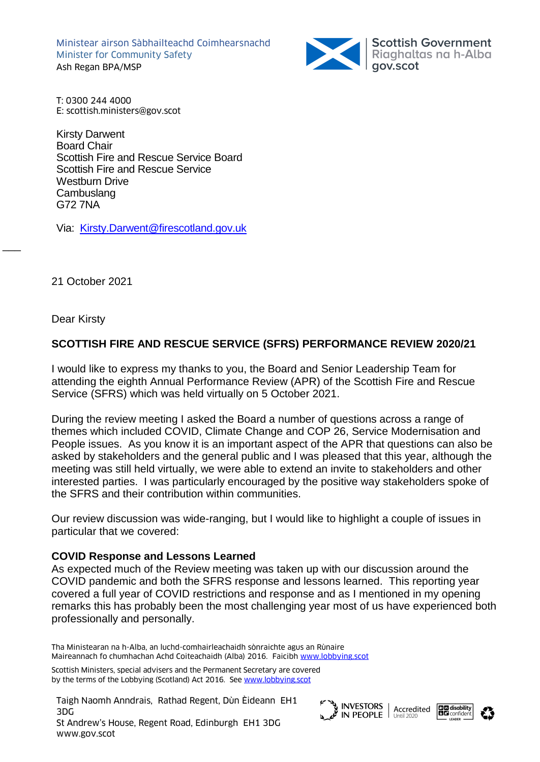Ministear airson Sàbhailteachd Coimhearsnachd Minister for Community Safety Ash Regan BPA/MSP



T: 0300 244 4000 E: scottish.ministers@gov.scot

Kirsty Darwent Board Chair Scottish Fire and Rescue Service Board Scottish Fire and Rescue Service Westburn Drive **Cambuslang** G72 7NA

Via: [Kirsty.Darwent@firescotland.gov.uk](mailto:Kirsty.Darwent@firescotland.gov.uk)

21 October 2021

Dear Kirsty

 $\overline{\phantom{a}}$ 

## **SCOTTISH FIRE AND RESCUE SERVICE (SFRS) PERFORMANCE REVIEW 2020/21**

I would like to express my thanks to you, the Board and Senior Leadership Team for attending the eighth Annual Performance Review (APR) of the Scottish Fire and Rescue Service (SFRS) which was held virtually on 5 October 2021.

During the review meeting I asked the Board a number of questions across a range of themes which included COVID, Climate Change and COP 26, Service Modernisation and People issues. As you know it is an important aspect of the APR that questions can also be asked by stakeholders and the general public and I was pleased that this year, although the meeting was still held virtually, we were able to extend an invite to stakeholders and other interested parties. I was particularly encouraged by the positive way stakeholders spoke of the SFRS and their contribution within communities.

Our review discussion was wide-ranging, but I would like to highlight a couple of issues in particular that we covered:

## **COVID Response and Lessons Learned**

As expected much of the Review meeting was taken up with our discussion around the COVID pandemic and both the SFRS response and lessons learned. This reporting year covered a full year of COVID restrictions and response and as I mentioned in my opening remarks this has probably been the most challenging year most of us have experienced both professionally and personally.

Tha Ministearan na h-Alba, an luchd-comhairleachaidh sònraichte agus an Rùnaire Maireannach fo chumhachan Achd Coiteachaidh (Alba) 2016. Faicibh [www.lobbying.scot](http://www.lobbying.scot/)

Scottish Ministers, special advisers and the Permanent Secretary are covered by the terms of the Lobbying (Scotland) Act 2016. Se[e www.lobbying.scot](http://www.lobbying.scot/)

Taigh Naomh Anndrais, Rathad Regent, Dùn Èideann EH1 3DG St Andrew's House, Regent Road, Edinburgh EH1 3DG www.gov.scot





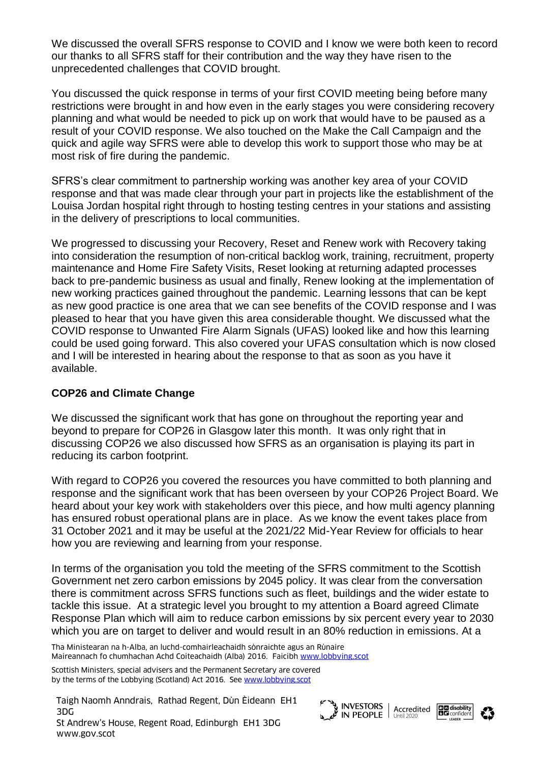We discussed the overall SFRS response to COVID and I know we were both keen to record our thanks to all SFRS staff for their contribution and the way they have risen to the unprecedented challenges that COVID brought.

You discussed the quick response in terms of your first COVID meeting being before many restrictions were brought in and how even in the early stages you were considering recovery planning and what would be needed to pick up on work that would have to be paused as a result of your COVID response. We also touched on the Make the Call Campaign and the quick and agile way SFRS were able to develop this work to support those who may be at most risk of fire during the pandemic.

SFRS's clear commitment to partnership working was another key area of your COVID response and that was made clear through your part in projects like the establishment of the Louisa Jordan hospital right through to hosting testing centres in your stations and assisting in the delivery of prescriptions to local communities.

We progressed to discussing your Recovery, Reset and Renew work with Recovery taking into consideration the resumption of non-critical backlog work, training, recruitment, property maintenance and Home Fire Safety Visits, Reset looking at returning adapted processes back to pre-pandemic business as usual and finally, Renew looking at the implementation of new working practices gained throughout the pandemic. Learning lessons that can be kept as new good practice is one area that we can see benefits of the COVID response and I was pleased to hear that you have given this area considerable thought. We discussed what the COVID response to Unwanted Fire Alarm Signals (UFAS) looked like and how this learning could be used going forward. This also covered your UFAS consultation which is now closed and I will be interested in hearing about the response to that as soon as you have it available.

## **COP26 and Climate Change**

We discussed the significant work that has gone on throughout the reporting year and beyond to prepare for COP26 in Glasgow later this month. It was only right that in discussing COP26 we also discussed how SFRS as an organisation is playing its part in reducing its carbon footprint.

With regard to COP26 you covered the resources you have committed to both planning and response and the significant work that has been overseen by your COP26 Project Board. We heard about your key work with stakeholders over this piece, and how multi agency planning has ensured robust operational plans are in place. As we know the event takes place from 31 October 2021 and it may be useful at the 2021/22 Mid-Year Review for officials to hear how you are reviewing and learning from your response.

In terms of the organisation you told the meeting of the SFRS commitment to the Scottish Government net zero carbon emissions by 2045 policy. It was clear from the conversation there is commitment across SFRS functions such as fleet, buildings and the wider estate to tackle this issue. At a strategic level you brought to my attention a Board agreed Climate Response Plan which will aim to reduce carbon emissions by six percent every year to 2030 which you are on target to deliver and would result in an 80% reduction in emissions. At a

Tha Ministearan na h-Alba, an luchd-comhairleachaidh sònraichte agus an Rùnaire Maireannach fo chumhachan Achd Coiteachaidh (Alba) 2016. Faicibh [www.lobbying.scot](http://www.lobbying.scot/)

Scottish Ministers, special advisers and the Permanent Secretary are covered by the terms of the Lobbying (Scotland) Act 2016. Se[e www.lobbying.scot](http://www.lobbying.scot/)

Taigh Naomh Anndrais, Rathad Regent, Dùn Èideann EH1 3DG St Andrew's House, Regent Road, Edinburgh EH1 3DG www.gov.scot